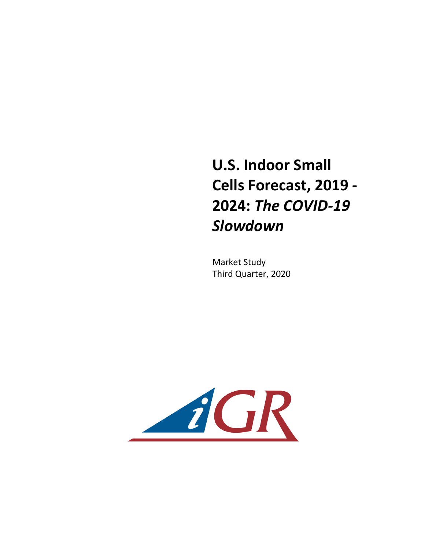## **U.S. Indoor Small Cells Forecast, 2019 - 2024: The COVID-19** *Slowdown*

**Market Study** Third Quarter, 2020

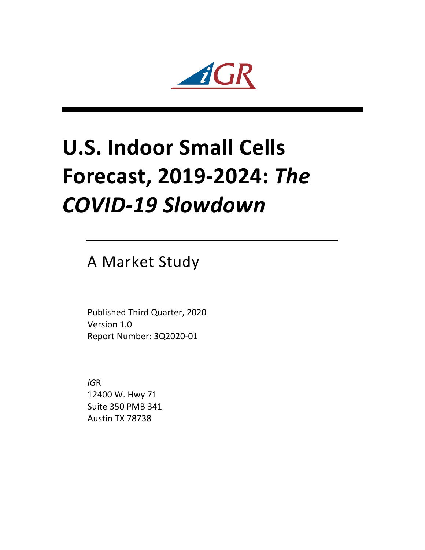$\mathbf{r}$ 

## **U.S. Indoor Small Cells Forecast, 2019-2024: The** *COVID-19 Slowdown*

A Market Study

Published Third Quarter, 2020 Version 1.0 Report Number: 3Q2020-01

*iG*R 12400 W. Hwy 71 Suite 350 PMB 341 Austin TX 78738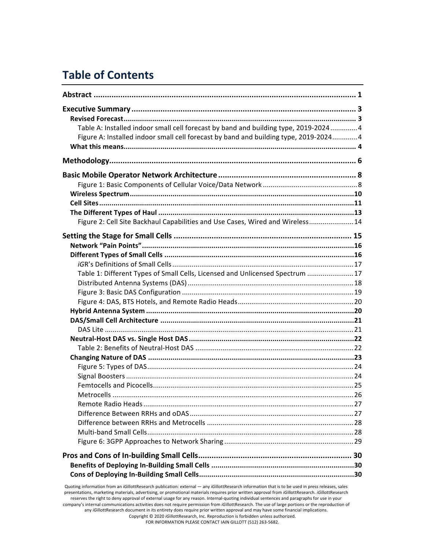## **Table of Contents**

| Table A: Installed indoor small cell forecast by band and building type, 2019-20244                                                               |  |
|---------------------------------------------------------------------------------------------------------------------------------------------------|--|
| Figure A: Installed indoor small cell forecast by band and building type, 2019-20244                                                              |  |
|                                                                                                                                                   |  |
|                                                                                                                                                   |  |
|                                                                                                                                                   |  |
|                                                                                                                                                   |  |
|                                                                                                                                                   |  |
|                                                                                                                                                   |  |
|                                                                                                                                                   |  |
|                                                                                                                                                   |  |
| Figure 2: Cell Site Backhaul Capabilities and Use Cases, Wired and Wireless14                                                                     |  |
|                                                                                                                                                   |  |
|                                                                                                                                                   |  |
|                                                                                                                                                   |  |
|                                                                                                                                                   |  |
| Table 1: Different Types of Small Cells, Licensed and Unlicensed Spectrum 17                                                                      |  |
|                                                                                                                                                   |  |
|                                                                                                                                                   |  |
|                                                                                                                                                   |  |
|                                                                                                                                                   |  |
|                                                                                                                                                   |  |
|                                                                                                                                                   |  |
|                                                                                                                                                   |  |
|                                                                                                                                                   |  |
|                                                                                                                                                   |  |
|                                                                                                                                                   |  |
|                                                                                                                                                   |  |
|                                                                                                                                                   |  |
|                                                                                                                                                   |  |
|                                                                                                                                                   |  |
|                                                                                                                                                   |  |
|                                                                                                                                                   |  |
|                                                                                                                                                   |  |
|                                                                                                                                                   |  |
|                                                                                                                                                   |  |
|                                                                                                                                                   |  |
|                                                                                                                                                   |  |
| Quoting information from an iGillottResearch publication: external - any iGillottResearch information that is to be used in press releases, sales |  |

presentations, marketing materials, advertising, or promotional materials requires prior written approval from *iGillottResearch. iGillottResearch* reserves the right to deny approval of external usage for any reason. Internal-quoting individual sentences and paragraphs for use in your company's internal communications activities does not require permission from *iGillottResearch*. The use of large portions or the reproduction of any iGillottResearch document in its entirety does require prior written approval and may have some financial implications. Copyright © 2020 *iGillottResearch, Inc. Reproduction* is forbidden unless authorized. FOR INFORMATION PLEASE CONTACT IAIN GILLOTT (512) 263-5682.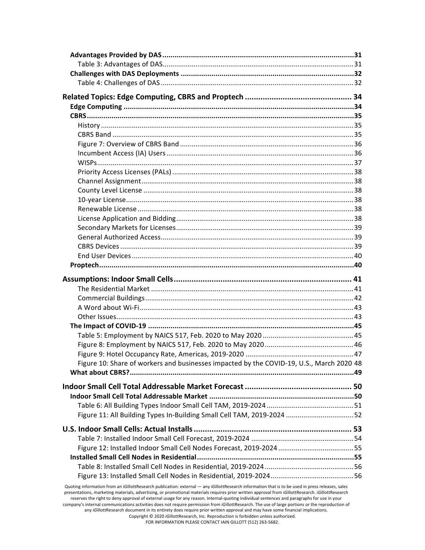| Figure 10: Share of workers and businesses impacted by the COVID-19, U.S., March 2020 48                                                                                                                                                                                                                                                                                                                                                             |  |
|------------------------------------------------------------------------------------------------------------------------------------------------------------------------------------------------------------------------------------------------------------------------------------------------------------------------------------------------------------------------------------------------------------------------------------------------------|--|
|                                                                                                                                                                                                                                                                                                                                                                                                                                                      |  |
|                                                                                                                                                                                                                                                                                                                                                                                                                                                      |  |
|                                                                                                                                                                                                                                                                                                                                                                                                                                                      |  |
|                                                                                                                                                                                                                                                                                                                                                                                                                                                      |  |
| Figure 11: All Building Types In-Building Small Cell TAM, 2019-2024 52                                                                                                                                                                                                                                                                                                                                                                               |  |
|                                                                                                                                                                                                                                                                                                                                                                                                                                                      |  |
|                                                                                                                                                                                                                                                                                                                                                                                                                                                      |  |
|                                                                                                                                                                                                                                                                                                                                                                                                                                                      |  |
|                                                                                                                                                                                                                                                                                                                                                                                                                                                      |  |
|                                                                                                                                                                                                                                                                                                                                                                                                                                                      |  |
|                                                                                                                                                                                                                                                                                                                                                                                                                                                      |  |
|                                                                                                                                                                                                                                                                                                                                                                                                                                                      |  |
| Quoting information from an iGillottResearch publication: external - any iGillottResearch information that is to be used in press releases, sales<br>presentations, marketing materials, advertising, or promotional materials requires prior written approval from iGillottResearch. iGillottResearch<br>reserves the right to deny approval of external usage for any reason. Internal-quoting individual sentences and paragraphs for use in your |  |

company's internal communications activities does not require permission from *iGillottResearch*. The use of large portions or the reproduction of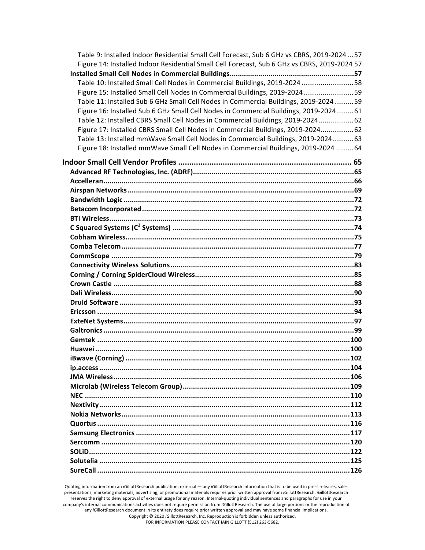| Table 9: Installed Indoor Residential Small Cell Forecast, Sub 6 GHz vs CBRS, 2019-2024  57  |  |
|----------------------------------------------------------------------------------------------|--|
| Figure 14: Installed Indoor Residential Small Cell Forecast, Sub 6 GHz vs CBRS, 2019-2024 57 |  |
|                                                                                              |  |
| Table 10: Installed Small Cell Nodes in Commercial Buildings, 2019-2024 58                   |  |
| Figure 15: Installed Small Cell Nodes in Commercial Buildings, 2019-202459                   |  |
| Table 11: Installed Sub 6 GHz Small Cell Nodes in Commercial Buildings, 2019-202459          |  |
| Figure 16: Installed Sub 6 GHz Small Cell Nodes in Commercial Buildings, 2019-2024 61        |  |
| Table 12: Installed CBRS Small Cell Nodes in Commercial Buildings, 2019-2024 62              |  |
| Figure 17: Installed CBRS Small Cell Nodes in Commercial Buildings, 2019-2024 62             |  |
| Table 13: Installed mmWave Small Cell Nodes in Commercial Buildings, 2019-2024 63            |  |
| Figure 18: Installed mmWave Small Cell Nodes in Commercial Buildings, 2019-2024  64          |  |
|                                                                                              |  |
|                                                                                              |  |
|                                                                                              |  |
|                                                                                              |  |
|                                                                                              |  |
|                                                                                              |  |
|                                                                                              |  |
|                                                                                              |  |
|                                                                                              |  |
|                                                                                              |  |
|                                                                                              |  |
|                                                                                              |  |
|                                                                                              |  |
|                                                                                              |  |
|                                                                                              |  |
|                                                                                              |  |
|                                                                                              |  |
|                                                                                              |  |
|                                                                                              |  |
|                                                                                              |  |
|                                                                                              |  |
|                                                                                              |  |
|                                                                                              |  |
|                                                                                              |  |
|                                                                                              |  |
|                                                                                              |  |
|                                                                                              |  |
|                                                                                              |  |
|                                                                                              |  |
|                                                                                              |  |
|                                                                                              |  |
|                                                                                              |  |
|                                                                                              |  |
|                                                                                              |  |
|                                                                                              |  |

Quoting information from an *iGillottResearch publication: external — any <i>iGillottResearch* information that is to be used in press releases, sales presentations, marketing materials, advertising, or promotional materials requires prior written approval from *iG*illottResearch. *iGillottResearch* reserves the right to deny approval of external usage for any reason. Internal-quoting individual sentences and paragraphs for use in your company's internal communications activities does not require permission from *iG*illottResearch. The use of large portions or the reproduction of any iGillottResearch document in its entirety does require prior written approval and may have some financial implications. Copyright © 2020 *iGillottResearch, Inc. Reproduction* is forbidden unless authorized. FOR INFORMATION PLEASE CONTACT IAIN GILLOTT (512) 263-5682.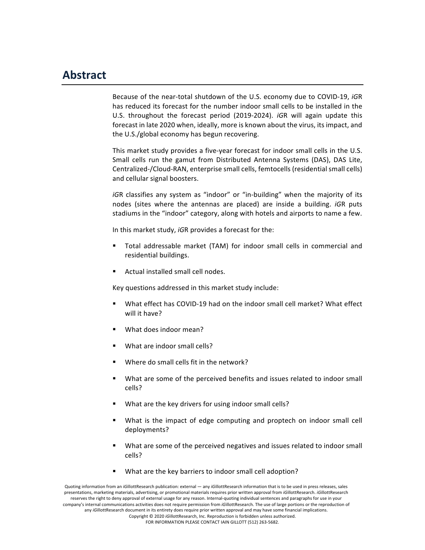## **Abstract**

Because of the near-total shutdown of the U.S. economy due to COVID-19, *iGR* has reduced its forecast for the number indoor small cells to be installed in the U.S. throughout the forecast period (2019-2024). *iGR* will again update this forecast in late 2020 when, ideally, more is known about the virus, its impact, and the U.S./global economy has begun recovering.

This market study provides a five-year forecast for indoor small cells in the U.S. Small cells run the gamut from Distributed Antenna Systems (DAS), DAS Lite, Centralized-/Cloud-RAN, enterprise small cells, femtocells (residential small cells) and cellular signal boosters.

*iGR* classifies any system as "indoor" or "in-building" when the majority of its nodes (sites where the antennas are placed) are inside a building. *iGR* puts stadiums in the "indoor" category, along with hotels and airports to name a few.

In this market study, *iGR* provides a forecast for the:

- Total addressable market (TAM) for indoor small cells in commercial and residential buildings.
- Actual installed small cell nodes.

Key questions addressed in this market study include:

- What effect has COVID-19 had on the indoor small cell market? What effect will it have?
- What does indoor mean?
- What are indoor small cells?
- Where do small cells fit in the network?
- What are some of the perceived benefits and issues related to indoor small cells?
- What are the key drivers for using indoor small cells?
- What is the impact of edge computing and proptech on indoor small cell deployments?
- What are some of the perceived negatives and issues related to indoor small cells?
- What are the key barriers to indoor small cell adoption?

Quoting information from an *iGillottResearch* publication: external — any *iGillottResearch* information that is to be used in press releases, sales presentations, marketing materials, advertising, or promotional materials requires prior written approval from *iGillottResearch. iGillottResearch* reserves the right to deny approval of external usage for any reason. Internal-quoting individual sentences and paragraphs for use in your company's internal communications activities does not require permission from *iGillottResearch*. The use of large portions or the reproduction of any *iGillottResearch document in its entirety does require prior written approval and may have some financial implications.* Copyright © 2020 *iG*illottResearch, Inc. Reproduction is forbidden unless authorized.